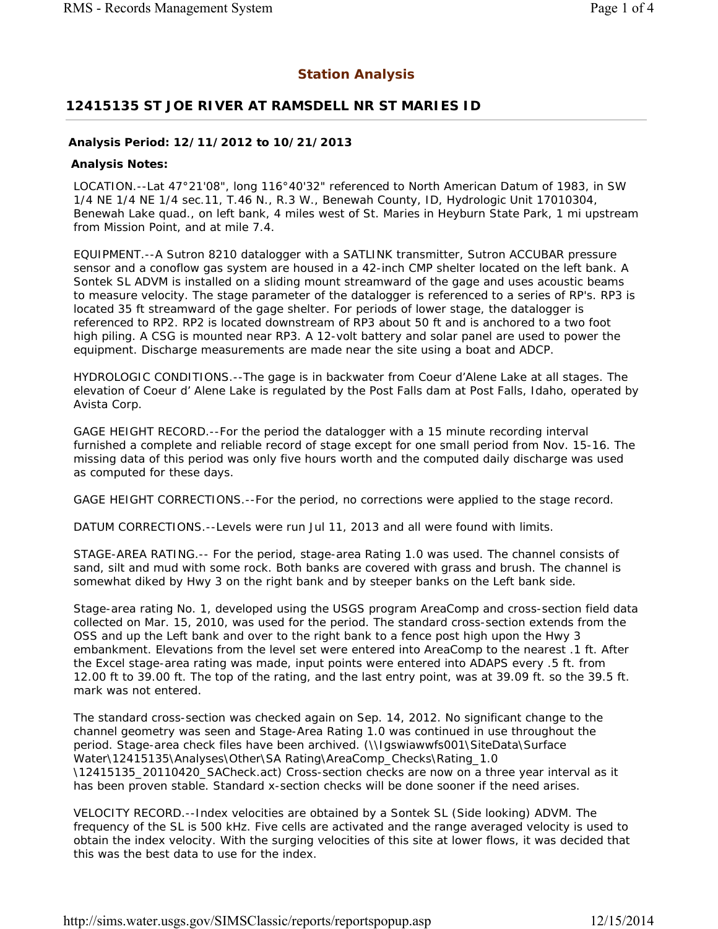## **Station Analysis**

## **12415135 ST JOE RIVER AT RAMSDELL NR ST MARIES ID**

## **Analysis Period: 12/11/2012 to 10/21/2013**

## **Analysis Notes:**

LOCATION.--Lat 47°21'08", long 116°40'32" referenced to North American Datum of 1983, in SW 1/4 NE 1/4 NE 1/4 sec.11, T.46 N., R.3 W., Benewah County, ID, Hydrologic Unit 17010304, Benewah Lake quad., on left bank, 4 miles west of St. Maries in Heyburn State Park, 1 mi upstream from Mission Point, and at mile 7.4.

EQUIPMENT.--A Sutron 8210 datalogger with a SATLINK transmitter, Sutron ACCUBAR pressure sensor and a conoflow gas system are housed in a 42-inch CMP shelter located on the left bank. A Sontek SL ADVM is installed on a sliding mount streamward of the gage and uses acoustic beams to measure velocity. The stage parameter of the datalogger is referenced to a series of RP's. RP3 is located 35 ft streamward of the gage shelter. For periods of lower stage, the datalogger is referenced to RP2. RP2 is located downstream of RP3 about 50 ft and is anchored to a two foot high piling. A CSG is mounted near RP3. A 12-volt battery and solar panel are used to power the equipment. Discharge measurements are made near the site using a boat and ADCP.

HYDROLOGIC CONDITIONS.--The gage is in backwater from Coeur d'Alene Lake at all stages. The elevation of Coeur d' Alene Lake is regulated by the Post Falls dam at Post Falls, Idaho, operated by Avista Corp.

GAGE HEIGHT RECORD.--For the period the datalogger with a 15 minute recording interval furnished a complete and reliable record of stage except for one small period from Nov. 15-16. The missing data of this period was only five hours worth and the computed daily discharge was used as computed for these days.

GAGE HEIGHT CORRECTIONS.--For the period, no corrections were applied to the stage record.

DATUM CORRECTIONS.--Levels were run Jul 11, 2013 and all were found with limits.

STAGE-AREA RATING.-- For the period, stage-area Rating 1.0 was used. The channel consists of sand, silt and mud with some rock. Both banks are covered with grass and brush. The channel is somewhat diked by Hwy 3 on the right bank and by steeper banks on the Left bank side.

Stage-area rating No. 1, developed using the USGS program AreaComp and cross-section field data collected on Mar. 15, 2010, was used for the period. The standard cross-section extends from the OSS and up the Left bank and over to the right bank to a fence post high upon the Hwy 3 embankment. Elevations from the level set were entered into AreaComp to the nearest .1 ft. After the Excel stage-area rating was made, input points were entered into ADAPS every .5 ft. from 12.00 ft to 39.00 ft. The top of the rating, and the last entry point, was at 39.09 ft. so the 39.5 ft. mark was not entered.

The standard cross-section was checked again on Sep. 14, 2012. No significant change to the channel geometry was seen and Stage-Area Rating 1.0 was continued in use throughout the period. Stage-area check files have been archived. (\\Igswiawwfs001\SiteData\Surface Water\12415135\Analyses\Other\SA Rating\AreaComp\_Checks\Rating\_1.0 \12415135\_20110420\_SACheck.act) Cross-section checks are now on a three year interval as it has been proven stable. Standard x-section checks will be done sooner if the need arises.

VELOCITY RECORD.--Index velocities are obtained by a Sontek SL (Side looking) ADVM. The frequency of the SL is 500 kHz. Five cells are activated and the range averaged velocity is used to obtain the index velocity. With the surging velocities of this site at lower flows, it was decided that this was the best data to use for the index.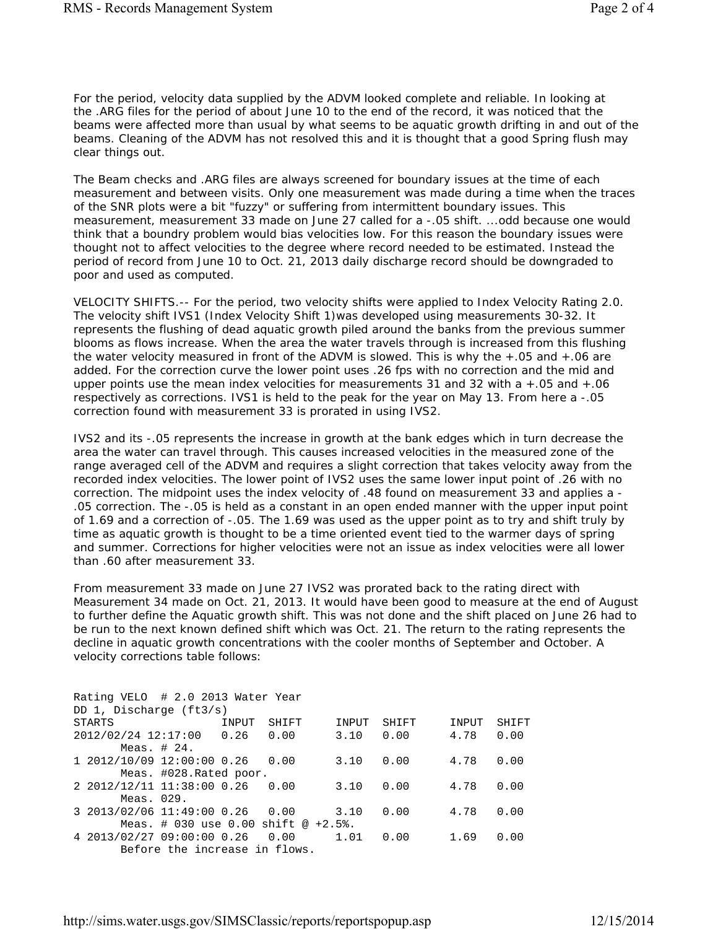For the period, velocity data supplied by the ADVM looked complete and reliable. In looking at the .ARG files for the period of about June 10 to the end of the record, it was noticed that the beams were affected more than usual by what seems to be aquatic growth drifting in and out of the beams. Cleaning of the ADVM has not resolved this and it is thought that a good Spring flush may clear things out.

The Beam checks and .ARG files are always screened for boundary issues at the time of each measurement and between visits. Only one measurement was made during a time when the traces of the SNR plots were a bit "fuzzy" or suffering from intermittent boundary issues. This measurement, measurement 33 made on June 27 called for a -.05 shift. ...odd because one would think that a boundry problem would bias velocities low. For this reason the boundary issues were thought not to affect velocities to the degree where record needed to be estimated. Instead the period of record from June 10 to Oct. 21, 2013 daily discharge record should be downgraded to poor and used as computed.

VELOCITY SHIFTS.-- For the period, two velocity shifts were applied to Index Velocity Rating 2.0. The velocity shift IVS1 (Index Velocity Shift 1)was developed using measurements 30-32. It represents the flushing of dead aquatic growth piled around the banks from the previous summer blooms as flows increase. When the area the water travels through is increased from this flushing the water velocity measured in front of the ADVM is slowed. This is why the +.05 and +.06 are added. For the correction curve the lower point uses .26 fps with no correction and the mid and upper points use the mean index velocities for measurements 31 and 32 with  $a + .05$  and  $+ .06$ respectively as corrections. IVS1 is held to the peak for the year on May 13. From here a -.05 correction found with measurement 33 is prorated in using IVS2.

IVS2 and its -.05 represents the increase in growth at the bank edges which in turn decrease the area the water can travel through. This causes increased velocities in the measured zone of the range averaged cell of the ADVM and requires a slight correction that takes velocity away from the recorded index velocities. The lower point of IVS2 uses the same lower input point of .26 with no correction. The midpoint uses the index velocity of .48 found on measurement 33 and applies a - .05 correction. The -.05 is held as a constant in an open ended manner with the upper input point of 1.69 and a correction of -.05. The 1.69 was used as the upper point as to try and shift truly by time as aquatic growth is thought to be a time oriented event tied to the warmer days of spring and summer. Corrections for higher velocities were not an issue as index velocities were all lower than .60 after measurement 33.

From measurement 33 made on June 27 IVS2 was prorated back to the rating direct with Measurement 34 made on Oct. 21, 2013. It would have been good to measure at the end of August to further define the Aquatic growth shift. This was not done and the shift placed on June 26 had to be run to the next known defined shift which was Oct. 21. The return to the rating represents the decline in aquatic growth concentrations with the cooler months of September and October. A velocity corrections table follows:

| Rating VELO # 2.0 2013 Water Year     |       |       |       |       |       |       |
|---------------------------------------|-------|-------|-------|-------|-------|-------|
| DD 1, Discharge $(ft3/s)$             |       |       |       |       |       |       |
| STARTS                                | INPUT | SHIFT | INPUT | SHIFT | INPUT | SHIFT |
| 2012/02/24 12:17:00 0.26              |       | 0.00  | 3.10  | 0.00  | 4.78  | 0.00  |
| Meas. $#24.$                          |       |       |       |       |       |       |
| 1 2012/10/09 12:00:00 0.26 0.00       |       |       | 3.10  | 0.00  | 4.78  | 0.00  |
| Meas. #028. Rated poor.               |       |       |       |       |       |       |
| 2 2012/12/11 11:38:00 0.26            |       | 0.00  | 3.10  | 0.00  | 4.78  | 0.00  |
| Meas. $029$ .                         |       |       |       |       |       |       |
| 3 2013/02/06 11:49:00 0.26 0.00       |       |       | 3.10  | 0.00  | 4.78  | 0.00  |
| Meas. # 030 use 0.00 shift $@ +2.5$ . |       |       |       |       |       |       |
| 4 2013/02/27 09:00:00 0.26            |       | 0.00  | 1.01  | 0.00  | 1.69  | 0.00  |
| Before the increase in flows.         |       |       |       |       |       |       |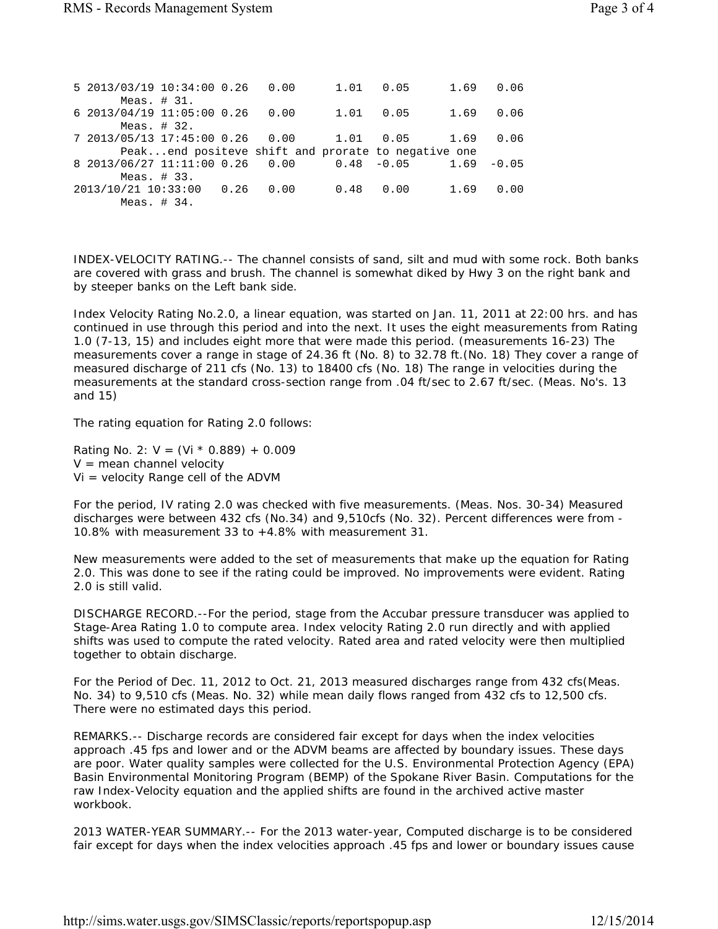| 5 2013/03/19 10:34:00 0.26 0.00                            |  |                                                    |      | $1.01 \t 0.05$ | 1.69 0.06 |      |
|------------------------------------------------------------|--|----------------------------------------------------|------|----------------|-----------|------|
| Meas. $# 31.$                                              |  |                                                    |      |                |           |      |
| 6 2013/04/19 11:05:00 0.26<br>Meas. $# 32.$                |  | 0.00                                               |      | 1.01 0.05      | 1.69 0.06 |      |
| 7 2013/05/13 17:45:00 0.26  0.00  1.01  0.05  1.69         |  |                                                    |      |                |           | 0.06 |
|                                                            |  | Peakend positeve shift and prorate to negative one |      |                |           |      |
| 8 2013/06/27 11:11:00 0.26  0.00  0.48  -0.05  1.69  -0.05 |  |                                                    |      |                |           |      |
| Meas. $\#$ 33.                                             |  |                                                    |      |                |           |      |
| 2013/10/21 10:33:00 0.26 0.00                              |  |                                                    | 0.48 | 0.00           | 1.69      | 0.00 |
| Meas. $\#$ 34.                                             |  |                                                    |      |                |           |      |

INDEX-VELOCITY RATING.-- The channel consists of sand, silt and mud with some rock. Both banks are covered with grass and brush. The channel is somewhat diked by Hwy 3 on the right bank and by steeper banks on the Left bank side.

Index Velocity Rating No.2.0, a linear equation, was started on Jan. 11, 2011 at 22:00 hrs. and has continued in use through this period and into the next. It uses the eight measurements from Rating 1.0 (7-13, 15) and includes eight more that were made this period. (measurements 16-23) The measurements cover a range in stage of 24.36 ft (No. 8) to 32.78 ft.(No. 18) They cover a range of measured discharge of 211 cfs (No. 13) to 18400 cfs (No. 18) The range in velocities during the measurements at the standard cross-section range from .04 ft/sec to 2.67 ft/sec. (Meas. No's. 13 and 15)

The rating equation for Rating 2.0 follows:

Rating No. 2:  $V = (Vi * 0.889) + 0.009$  $V =$  mean channel velocity Vi = velocity Range cell of the ADVM

For the period, IV rating 2.0 was checked with five measurements. (Meas. Nos. 30-34) Measured discharges were between 432 cfs (No.34) and 9,510cfs (No. 32). Percent differences were from - 10.8% with measurement 33 to +4.8% with measurement 31.

New measurements were added to the set of measurements that make up the equation for Rating 2.0. This was done to see if the rating could be improved. No improvements were evident. Rating 2.0 is still valid.

DISCHARGE RECORD.--For the period, stage from the Accubar pressure transducer was applied to Stage-Area Rating 1.0 to compute area. Index velocity Rating 2.0 run directly and with applied shifts was used to compute the rated velocity. Rated area and rated velocity were then multiplied together to obtain discharge.

For the Period of Dec. 11, 2012 to Oct. 21, 2013 measured discharges range from 432 cfs(Meas. No. 34) to 9,510 cfs (Meas. No. 32) while mean daily flows ranged from 432 cfs to 12,500 cfs. There were no estimated days this period.

REMARKS.-- Discharge records are considered fair except for days when the index velocities approach .45 fps and lower and or the ADVM beams are affected by boundary issues. These days are poor. Water quality samples were collected for the U.S. Environmental Protection Agency (EPA) Basin Environmental Monitoring Program (BEMP) of the Spokane River Basin. Computations for the raw Index-Velocity equation and the applied shifts are found in the archived active master workbook.

2013 WATER-YEAR SUMMARY.-- For the 2013 water-year, Computed discharge is to be considered fair except for days when the index velocities approach .45 fps and lower or boundary issues cause